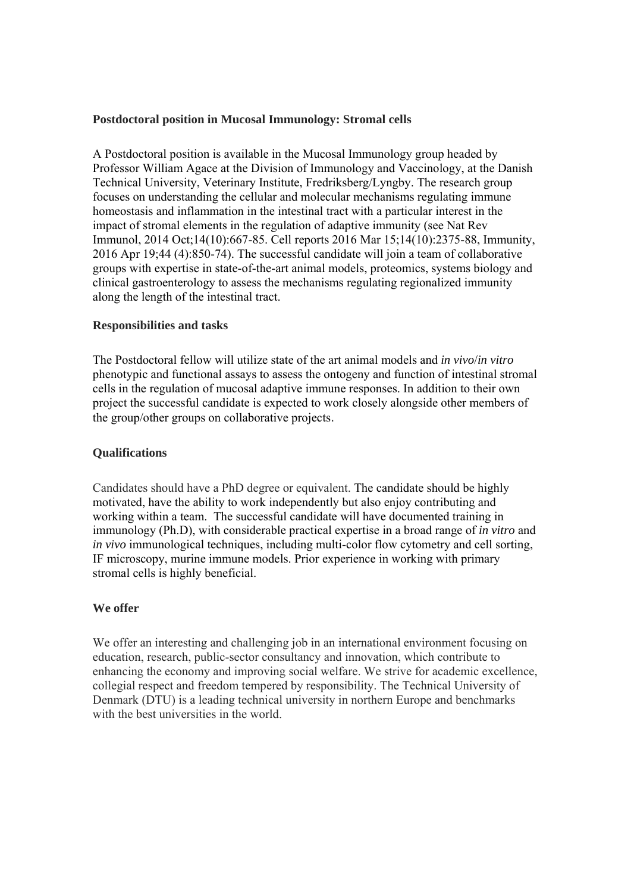## **Postdoctoral position in Mucosal Immunology: Stromal cells**

A Postdoctoral position is available in the Mucosal Immunology group headed by Professor William Agace at the Division of Immunology and Vaccinology, at the Danish Technical University, Veterinary Institute, Fredriksberg/Lyngby. The research group focuses on understanding the cellular and molecular mechanisms regulating immune homeostasis and inflammation in the intestinal tract with a particular interest in the impact of stromal elements in the regulation of adaptive immunity (see Nat Rev Immunol, 2014 Oct;14(10):667-85. Cell reports 2016 Mar 15;14(10):2375-88, Immunity, 2016 Apr 19;44 (4):850-74). The successful candidate will join a team of collaborative groups with expertise in state-of-the-art animal models, proteomics, systems biology and clinical gastroenterology to assess the mechanisms regulating regionalized immunity along the length of the intestinal tract.

## **Responsibilities and tasks**

The Postdoctoral fellow will utilize state of the art animal models and *in vivo*/*in vitro* phenotypic and functional assays to assess the ontogeny and function of intestinal stromal cells in the regulation of mucosal adaptive immune responses. In addition to their own project the successful candidate is expected to work closely alongside other members of the group/other groups on collaborative projects.

## **Qualifications**

Candidates should have a PhD degree or equivalent. The candidate should be highly motivated, have the ability to work independently but also enjoy contributing and working within a team. The successful candidate will have documented training in immunology (Ph.D), with considerable practical expertise in a broad range of *in vitro* and *in vivo* immunological techniques, including multi-color flow cytometry and cell sorting, IF microscopy, murine immune models. Prior experience in working with primary stromal cells is highly beneficial.

## **We offer**

We offer an interesting and challenging job in an international environment focusing on education, research, public-sector consultancy and innovation, which contribute to enhancing the economy and improving social welfare. We strive for academic excellence, collegial respect and freedom tempered by responsibility. The Technical University of Denmark (DTU) is a leading technical university in northern Europe and benchmarks with the best universities in the world.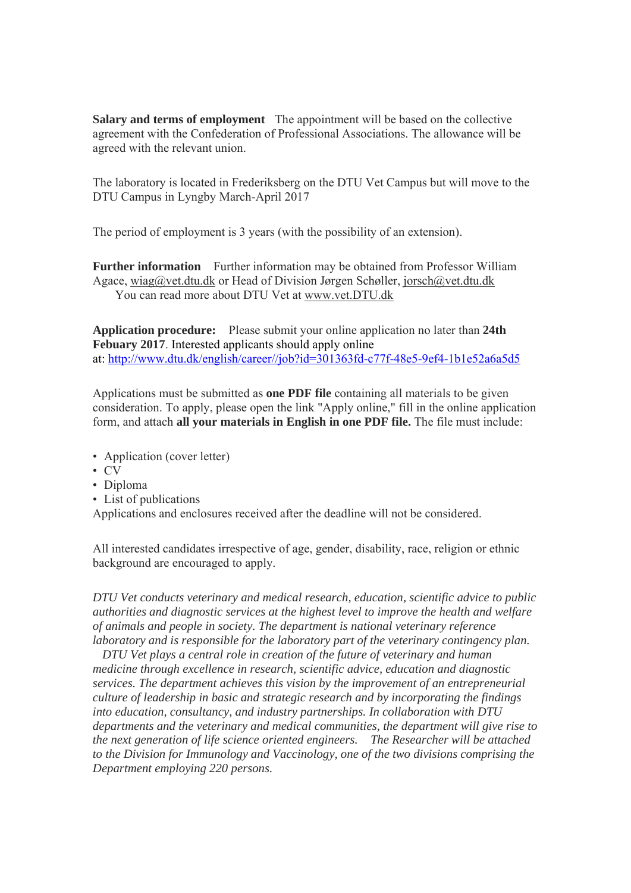**Salary and terms of employment** The appointment will be based on the collective agreement with the Confederation of Professional Associations. The allowance will be agreed with the relevant union.

The laboratory is located in Frederiksberg on the DTU Vet Campus but will move to the DTU Campus in Lyngby March-April 2017

The period of employment is 3 years (with the possibility of an extension).

**Further information** Further information may be obtained from Professor William Agace, wiag@vet.dtu.dk or Head of Division Jørgen Schøller, jorsch@vet.dtu.dk You can read more about DTU Vet at www.vet.DTU.dk

**Application procedure:** Please submit your online application no later than **24th Febuary 2017**. Interested applicants should apply online at: http://www.dtu.dk/english/career//job?id=301363fd-c77f-48e5-9ef4-1b1e52a6a5d5

Applications must be submitted as **one PDF file** containing all materials to be given consideration. To apply, please open the link "Apply online," fill in the online application form, and attach **all your materials in English in one PDF file.** The file must include:

- Application (cover letter)
- CV
- Diploma
- List of publications

Applications and enclosures received after the deadline will not be considered.

All interested candidates irrespective of age, gender, disability, race, religion or ethnic background are encouraged to apply.

*DTU Vet conducts veterinary and medical research, education, scientific advice to public authorities and diagnostic services at the highest level to improve the health and welfare of animals and people in society. The department is national veterinary reference laboratory and is responsible for the laboratory part of the veterinary contingency plan.* 

*DTU Vet plays a central role in creation of the future of veterinary and human medicine through excellence in research, scientific advice, education and diagnostic services. The department achieves this vision by the improvement of an entrepreneurial culture of leadership in basic and strategic research and by incorporating the findings into education, consultancy, and industry partnerships. In collaboration with DTU departments and the veterinary and medical communities, the department will give rise to the next generation of life science oriented engineers. The Researcher will be attached to the Division for Immunology and Vaccinology, one of the two divisions comprising the Department employing 220 persons.*